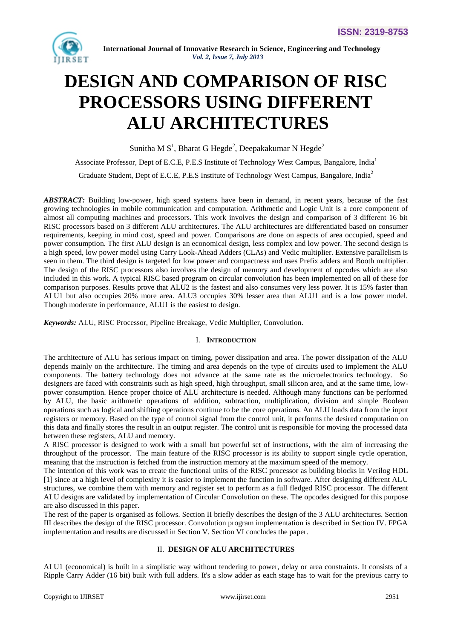

# **DESIGN AND COMPARISON OF RISC PROCESSORS USING DIFFERENT ALU ARCHITECTURES**

Sunitha M  $S^1$ , Bharat G Hegde<sup>2</sup>, Deepakakumar N Hegde<sup>2</sup>

Associate Professor, Dept of E.C.E, P.E.S Institute of Technology West Campus, Bangalore, India<sup>1</sup>

Graduate Student, Dept of E.C.E, P.E.S Institute of Technology West Campus, Bangalore, India<sup>2</sup>

*ABSTRACT:* Building low-power, high speed systems have been in demand, in recent years, because of the fast growing technologies in mobile communication and computation. Arithmetic and Logic Unit is a core component of almost all computing machines and processors. This work involves the design and comparison of 3 different 16 bit RISC processors based on 3 different ALU architectures. The ALU architectures are differentiated based on consumer requirements, keeping in mind cost, speed and power. Comparisons are done on aspects of area occupied, speed and power consumption. The first ALU design is an economical design, less complex and low power. The second design is a high speed, low power model using Carry Look-Ahead Adders (CLAs) and Vedic multiplier. Extensive parallelism is seen in them. The third design is targeted for low power and compactness and uses Prefix adders and Booth multiplier. The design of the RISC processors also involves the design of memory and development of opcodes which are also included in this work. A typical RISC based program on circular convolution has been implemented on all of these for comparison purposes. Results prove that ALU2 is the fastest and also consumes very less power. It is 15% faster than ALU1 but also occupies 20% more area. ALU3 occupies 30% lesser area than ALU1 and is a low power model. Though moderate in performance, ALU1 is the easiest to design.

*Keywords:* ALU, RISC Processor, Pipeline Breakage, Vedic Multiplier, Convolution.

# I. **INTRODUCTION**

The architecture of ALU has serious impact on timing, power dissipation and area. The power dissipation of the ALU depends mainly on the architecture. The timing and area depends on the type of circuits used to implement the ALU components. The battery technology does not advance at the same rate as the microelectronics technology. So designers are faced with constraints such as high speed, high throughput, small silicon area, and at the same time, lowpower consumption. Hence proper choice of ALU architecture is needed. Although many functions can be performed by ALU, the basic arithmetic operations of addition, subtraction, multiplication, division and simple Boolean operations such as logical and shifting operations continue to be the core operations. An ALU loads data from the input registers or memory. Based on the type of control signal from the control unit, it performs the desired computation on this data and finally stores the result in an output register. The control unit is responsible for moving the processed data between these registers, ALU and memory.

A RISC processor is designed to work with a small but powerful set of instructions, with the aim of increasing the throughput of the processor. The main feature of the RISC processor is its ability to support single cycle operation, meaning that the instruction is fetched from the instruction memory at the maximum speed of the memory.

The intention of this work was to create the functional units of the RISC processor as building blocks in Verilog HDL [1] since at a high level of complexity it is easier to implement the function in software. After designing different ALU structures, we combine them with memory and register set to perform as a full fledged RISC processor. The different ALU designs are validated by implementation of Circular Convolution on these. The opcodes designed for this purpose are also discussed in this paper.

The rest of the paper is organised as follows. Section II briefly describes the design of the 3 ALU architectures. Section III describes the design of the RISC processor. Convolution program implementation is described in Section IV. FPGA implementation and results are discussed in Section V. Section VI concludes the paper.

# II. **DESIGN OF ALU ARCHITECTURES**

ALU1 (economical) is built in a simplistic way without tendering to power, delay or area constraints. It consists of a Ripple Carry Adder (16 bit) built with full adders. It's a slow adder as each stage has to wait for the previous carry to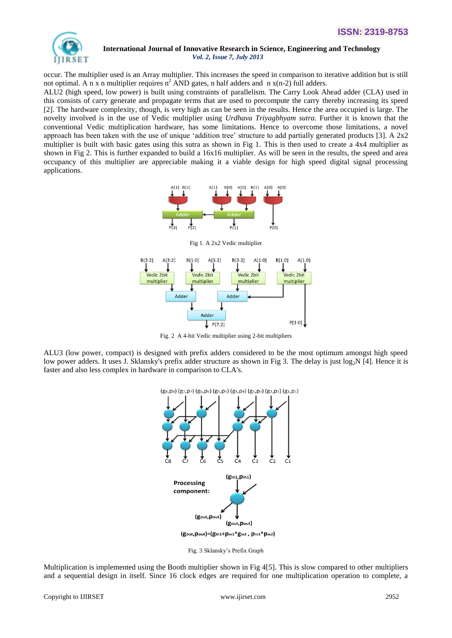

occur. The multiplier used is an Array multiplier. This increases the speed in comparison to iterative addition but is still not optimal. A n x n multiplier requires  $n^2$  AND gates, n half adders and n x(n-2) full adders.

ALU2 (high speed, low power) is built using constraints of parallelism. The Carry Look Ahead adder (CLA) used in this consists of carry generate and propagate terms that are used to precompute the carry thereby increasing its speed [2]. The hardware complexity, though, is very high as can be seen in the results. Hence the area occupied is large. The novelty involved is in the use of Vedic multiplier using *Urdhava Triyagbhyam sutra.* Further it is known that the conventional Vedic multiplication hardware, has some limitations. Hence to overcome those limitations, a novel approach has been taken with the use of unique 'addition tree' structure to add partially generated products  $[3]$ . A  $2x2$ multiplier is built with basic gates using this sutra as shown in Fig 1. This is then used to create a 4x4 multiplier as shown in Fig 2. This is further expanded to build a 16x16 multiplier. As will be seen in the results, the speed and area occupancy of this multiplier are appreciable making it a viable design for high speed digital signal processing applications.



Fig 1. A 2x2 Vedic multiplier



Fig. 2 A 4-bit Vedic multiplier using 2-bit multipliers

ALU3 (low power, compact) is designed with prefix adders considered to be the most optimum amongst high speed low power adders. It uses J. Sklansky's prefix adder structure as shown in Fig 3. The delay is just log<sub>2</sub>N [4]. Hence it is faster and also less complex in hardware in comparison to CLA's.



Fig. 3 Sklansky's Prefix Graph

Multiplication is implemented using the Booth multiplier shown in Fig 4[5]. This is slow compared to other multipliers and a sequential design in itself. Since 16 clock edges are required for one multiplication operation to complete, a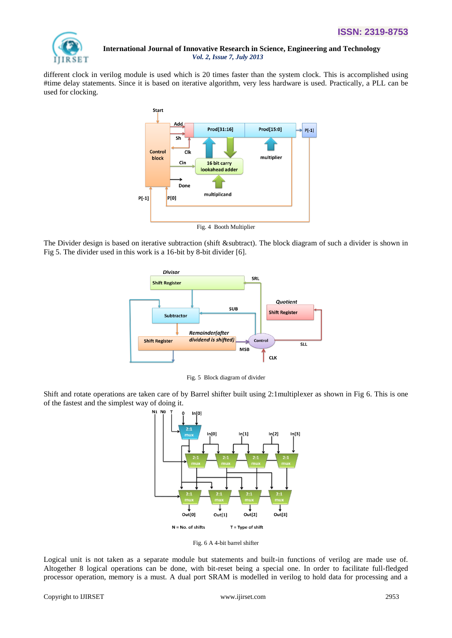

different clock in verilog module is used which is 20 times faster than the system clock. This is accomplished using #time delay statements. Since it is based on iterative algorithm, very less hardware is used. Practically, a PLL can be used for clocking.



The Divider design is based on iterative subtraction (shift &subtract). The block diagram of such a divider is shown in Fig 5. The divider used in this work is a 16-bit by 8-bit divider [6].



Fig. 5 Block diagram of divider

Shift and rotate operations are taken care of by Barrel shifter built using 2:1multiplexer as shown in Fig 6. This is one of the fastest and the simplest way of doing it.



Fig. 6 A 4-bit barrel shifter

Logical unit is not taken as a separate module but statements and built-in functions of verilog are made use of. Altogether 8 logical operations can be done, with bit-reset being a special one. In order to facilitate full-fledged processor operation, memory is a must. A dual port SRAM is modelled in verilog to hold data for processing and a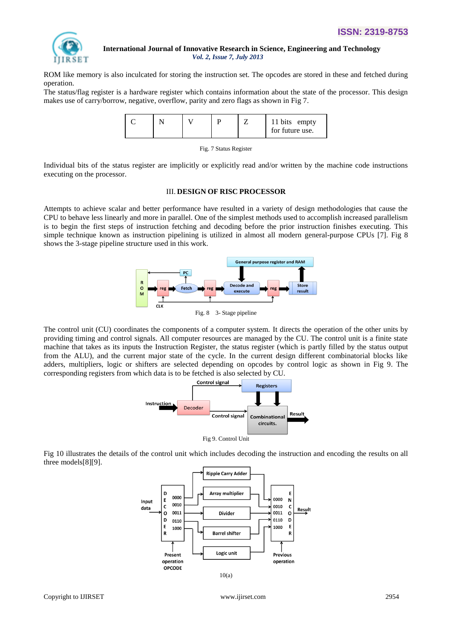

ROM like memory is also inculcated for storing the instruction set. The opcodes are stored in these and fetched during operation.

The status/flag register is a hardware register which contains information about the state of the processor. This design makes use of carry/borrow, negative, overflow, parity and zero flags as shown in Fig 7.

|  |  |  | bits empty<br>for future use. |
|--|--|--|-------------------------------|
|--|--|--|-------------------------------|

|  | Fig. 7 Status Register |
|--|------------------------|
|  |                        |

Individual bits of the status register are implicitly or explicitly read and/or written by the machine code instructions executing on the processor.

#### III. **DESIGN OF RISC PROCESSOR**

Attempts to achieve scalar and better performance have resulted in a variety of design methodologies that cause the CPU to behave less linearly and more in parallel. One of the simplest methods used to accomplish increased parallelism is to begin the first steps of instruction fetching and decoding before the prior instruction finishes executing. This simple technique known as instruction pipelining is utilized in almost all modern general-purpose CPUs [7]. Fig 8 shows the 3-stage pipeline structure used in this work.



The control unit (CU) coordinates the components of a computer system. It directs the operation of the other units by providing timing and control signals. All computer resources are managed by the CU. The control unit is a finite state machine that takes as its inputs the Instruction Register, the status register (which is partly filled by the status output from the ALU), and the current major state of the cycle. In the current design different combinatorial blocks like adders, multipliers, logic or shifters are selected depending on opcodes by control logic as shown in Fig 9. The corresponding registers from which data is to be fetched is also selected by CU.



Fig 9. Control Unit

Fig 10 illustrates the details of the control unit which includes decoding the instruction and encoding the results on all three models[8][9].

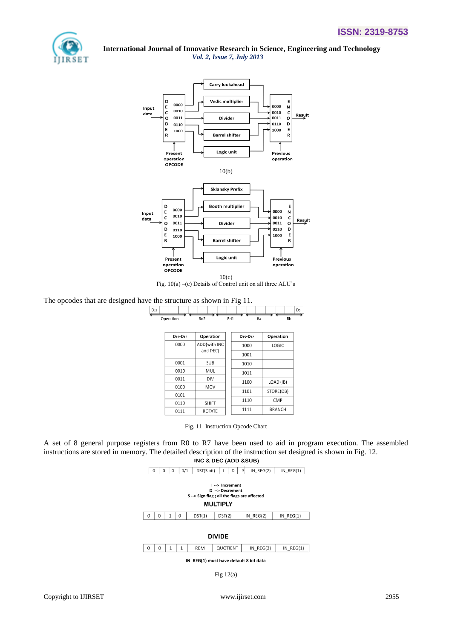



Fig. 10(a) –(c) Details of Control unit on all three ALU's

## The opcodes that are designed have the structure as shown in Fig 11.

| $D_{15}$  |                 |     |    | D <sub>0</sub> |
|-----------|-----------------|-----|----|----------------|
| Operation | Rd <sub>2</sub> | Rd1 | Ra | Rb             |
|           |                 |     |    |                |

| $D_{15}$ - $D_{12}$ | Operation     | $D15-D12$ | Operation     |
|---------------------|---------------|-----------|---------------|
| 0000                | ADD(with INC  | 1000      | LOGIC         |
|                     | and DEC)      | 1001      |               |
| 0001                | <b>SUB</b>    | 1010      |               |
| 0010                | MUL           | 1011      |               |
| 0011                | DIV           | 1100      | LOAD (IB)     |
| 0100                | MOV           | 1101      |               |
| 0101                |               |           | STORE(DB)     |
| 0110                | <b>SHIFT</b>  | 1110      | CMP           |
| 0111                | <b>ROTATE</b> | 1111      | <b>BRANCH</b> |

Fig. 11 Instruction Opcode Chart

A set of 8 general purpose registers from R0 to R7 have been used to aid in program execution. The assembled instructions are stored in memory. The detailed description of the instruction set designed is shown in Fig. 12.<br>INC & DEC (ADD &SUB)



IN\_REG(1) must have default 8 bit data

Fig 12(a)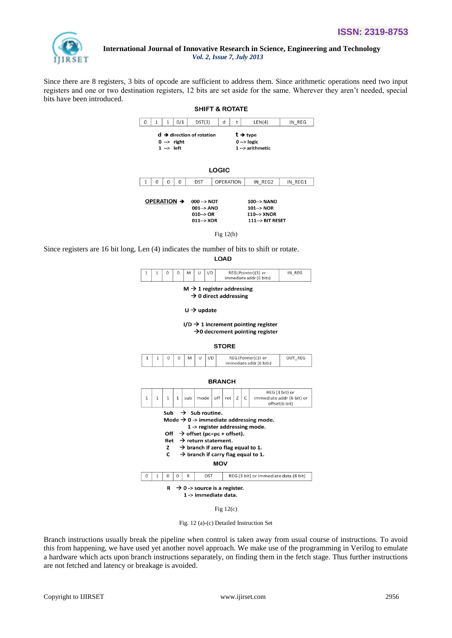

Since there are 8 registers, 3 bits of opcode are sufficient to address them. Since arithmetic operations need two input registers and one or two destination registers, 12 bits are set aside for the same. Wherever they aren't needed, special bits have been introduced.



Fig 12(b)

Since registers are 16 bit long, Len (4) indicates the number of bits to shift or rotate.

LOAD



# $M \rightarrow 1$  register addressing

 $\rightarrow$  0 direct addressing

 $U \rightarrow$  update

I/D  $\rightarrow$  1 increment pointing register  $\rightarrow$  0 decrement pointing register

**STORE** 





Fig 12(c)

Fig. 12 (a)-(c) Detailed Instruction Set

Branch instructions usually break the pipeline when control is taken away from usual course of instructions. To avoid this from happening, we have used yet another novel approach. We make use of the programming in Verilog to emulate a hardware which acts upon branch instructions separately, on finding them in the fetch stage. Thus further instructions are not fetched and latency or breakage is avoided.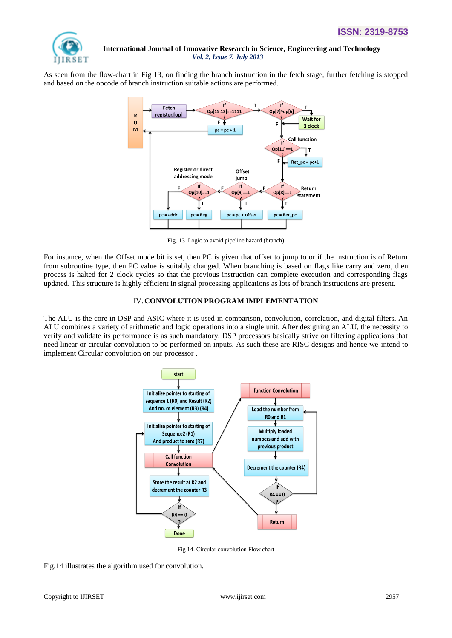

As seen from the flow-chart in Fig 13, on finding the branch instruction in the fetch stage, further fetching is stopped and based on the opcode of branch instruction suitable actions are performed.



Fig. 13 Logic to avoid pipeline hazard (branch)

For instance, when the Offset mode bit is set, then PC is given that offset to jump to or if the instruction is of Return from subroutine type, then PC value is suitably changed. When branching is based on flags like carry and zero, then process is halted for 2 clock cycles so that the previous instruction can complete execution and corresponding flags updated. This structure is highly efficient in signal processing applications as lots of branch instructions are present.

#### IV.**CONVOLUTION PROGRAM IMPLEMENTATION**

The ALU is the core in DSP and ASIC where it is used in comparison, convolution, correlation, and digital filters. An ALU combines a variety of arithmetic and logic operations into a single unit. After designing an ALU, the necessity to verify and validate its performance is as such mandatory. DSP processors basically strive on filtering applications that need linear or circular convolution to be performed on inputs. As such these are RISC designs and hence we intend to implement Circular convolution on our processor .



Fig 14. Circular convolution Flow chart

Fig.14 illustrates the algorithm used for convolution.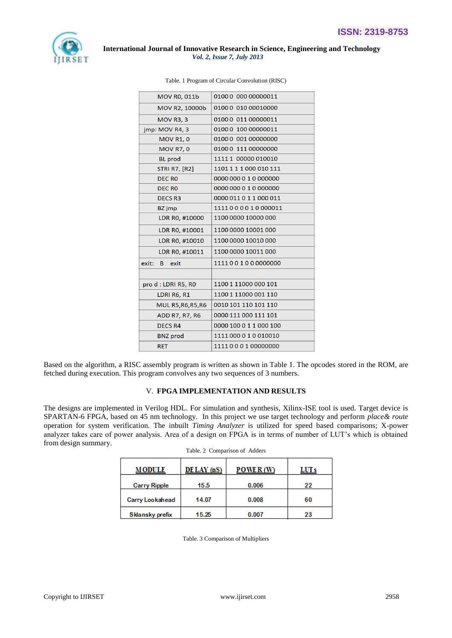

| 01000 000 00000011     |
|------------------------|
| 01000 010 00010000     |
| 01000 011 00000011     |
| 01000 100 00000011     |
| 01000 001 00000000     |
| 01000 111 00000000     |
| 11111 00000 010010     |
| 1101111000010111       |
| 0000 000 0 1 0 000000  |
| 0000 000 0 1 0 000000  |
| 0000 011 0 1 1 000 011 |
| 1111000010000011       |
| 1100 0000 10000 000    |
| 1100 0000 10001 000    |
| 1100 0000 10010 000    |
| 1100 0000 10011 000    |
| 111100100000000        |
|                        |
| 1100 1 11000 000 101   |
| 1100 1 11000 001 110   |
| 0010 101 110 101 110   |
| 0000 111 000 111 101   |
| 0000 100 0 1 1 000 100 |
| 1111 000 0 1 0 010010  |
| 111100010000000        |
|                        |

Based on the algorithm, a RISC assembly program is written as shown in Table 1. The opcodes stored in the ROM, are fetched during execution. This program convolves any two sequences of 3 numbers.

#### V. **FPGA IMPLEMENTATION AND RESULTS**

The designs are implemented in Verilog HDL. For simulation and synthesis, Xilinx-ISE tool is used. Target device is SPARTAN-6 FPGA, based on 45 nm technology. In this project we use target technology and perform *place& route*  operation for system verification. The inbuilt *Timing Analyzer* is utilized for speed based comparisons; X-power analyzer takes care of power analysis. Area of a design on FPGA is in terms of number of LUT's which is obtained from design summary.

| <b>MODULE</b>       | $DE$ <i>LAY</i> ( $nS$ ) | <b>POWER</b> (W) | LUT s |
|---------------------|--------------------------|------------------|-------|
| <b>Carry Ripple</b> | 15.5                     | 0.006            | 22    |
| Carry Lookahead     | 14.07                    | 0.008            | 60    |
| Sklansky prefix     | 15.25                    | 0.007            | 23    |

| Table. 2 Comparison of Adders |
|-------------------------------|
|-------------------------------|

Table. 3 Comparison of Multipliers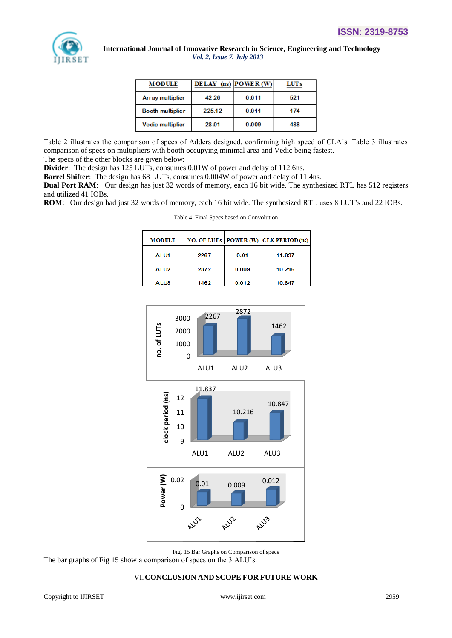

| <b>MODULE</b>           | DELAY (ns) POWER (W) |       | LUT s |
|-------------------------|----------------------|-------|-------|
| <b>Array multiplier</b> | 42.26                | 0.011 | 521   |
| <b>Booth multiplier</b> | 225.12               | 0.011 | 174   |
| Vedic multiplier        | 28.01                | 0.009 | 488   |

Table 2 illustrates the comparison of specs of Adders designed, confirming high speed of CLA's. Table 3 illustrates comparison of specs on multipliers with booth occupying minimal area and Vedic being fastest. The specs of the other blocks are given below:

**Divider**: The design has 125 LUTs, consumes 0.01W of power and delay of 112.6ns.

**Barrel Shifter**: The design has 68 LUTs, consumes 0.004W of power and delay of 11.4ns.

**Dual Port RAM**: Our design has just 32 words of memory, each 16 bit wide. The synthesized RTL has 512 registers and utilized 41 IOBs.

**ROM**: Our design had just 32 words of memory, each 16 bit wide. The synthesized RTL uses 8 LUT's and 22 IOBs.

Table 4. Final Specs based on Convolution

| <b>MODULE</b>    |      |       | NO. OF LUTs   POWER (W) $ CLK$ PERIOD (ns) |
|------------------|------|-------|--------------------------------------------|
| ALU1             | 2267 | 0.01  | 11.837                                     |
| ALU <sub>2</sub> | 2872 | 0.009 | 10.216                                     |
| ALU3             | 1462 | 0.012 | 10.847                                     |

| <b>MODULE</b>    |      |       | NO. OF LUTs   POWER (W) $ CLK$ PERIOD (ns) |
|------------------|------|-------|--------------------------------------------|
|                  |      |       |                                            |
| <b>ALU1</b>      | 2267 | 0.01  | 11.837                                     |
|                  |      |       |                                            |
| ALU <sub>2</sub> | 2872 | 0.009 | 10.216                                     |
|                  |      |       |                                            |
| ALU3             | 1462 | 0.012 | 10.847                                     |
|                  |      |       |                                            |



Fig. 15 Bar Graphs on Comparison of specs

The bar graphs of Fig 15 show a comparison of specs on the 3 ALU's.

# VI.**CONCLUSION AND SCOPE FOR FUTURE WORK**